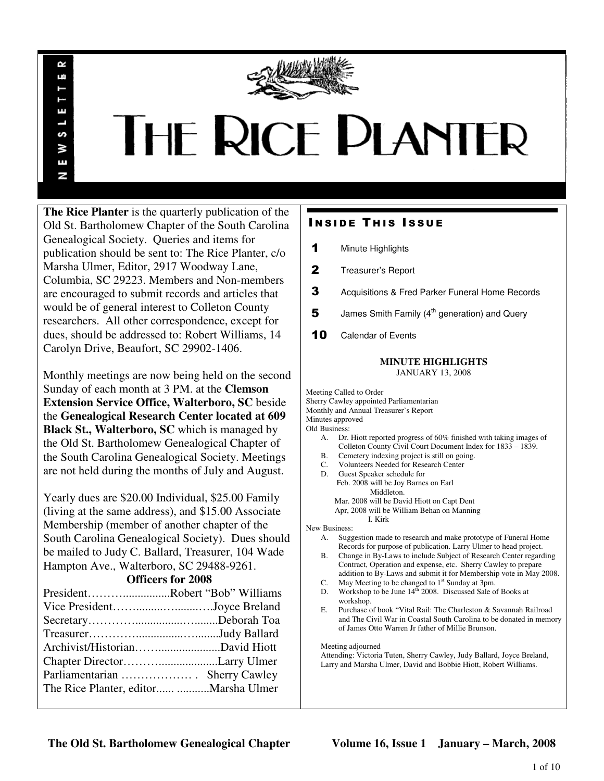

# **THE RICE PLANTER**

**The Rice Planter** is the quarterly publication of the Old St. Bartholomew Chapter of the South Carolina Genealogical Society. Queries and items for publication should be sent to: The Rice Planter, c/o Marsha Ulmer, Editor, 2917 Woodway Lane, Columbia, SC 29223. Members and Non-members are encouraged to submit records and articles that would be of general interest to Colleton County researchers. All other correspondence, except for dues, should be addressed to: Robert Williams, 14 Carolyn Drive, Beaufort, SC 29902-1406.

 $\sim$ Шî

ш

S N E N

Monthly meetings are now being held on the second Sunday of each month at 3 PM. at the **Clemson Extension Service Office, Walterboro, SC** beside the **Genealogical Research Center located at 609 Black St., Walterboro, SC** which is managed by the Old St. Bartholomew Genealogical Chapter of the South Carolina Genealogical Society. Meetings are not held during the months of July and August.

Yearly dues are \$20.00 Individual, \$25.00 Family (living at the same address), and \$15.00 Associate Membership (member of another chapter of the South Carolina Genealogical Society). Dues should be mailed to Judy C. Ballard, Treasurer, 104 Wade Hampton Ave., Walterboro, SC 29488-9261.

**Officers for 2008** 

| PresidentRobert "Bob" Williams         |  |
|----------------------------------------|--|
| Vice PresidentJoyce Breland            |  |
|                                        |  |
|                                        |  |
|                                        |  |
|                                        |  |
|                                        |  |
| The Rice Planter, editor  Marsha Ulmer |  |
|                                        |  |

# **INSIDE THIS ISSUE**

- 1 Minute Highlights
- 2 Treasurer's Report
- 3 Acquisitions & Fred Parker Funeral Home Records
- **5** James Smith Family  $(4<sup>th</sup>$  generation) and Query
- 10 Calendar of Events

# **MINUTE HIGHLIGHTS**

JANUARY 13, 2008

Meeting Called to Order Sherry Cawley appointed Parliamentarian Monthly and Annual Treasurer's Report Minutes approved

Old Business:

- A. Dr. Hiott reported progress of 60% finished with taking images of Colleton County Civil Court Document Index for 1833 – 1839.
- B. Cemetery indexing project is still on going.
- C. Volunteers Needed for Research Center
- D. Guest Speaker schedule for Feb. 2008 will be Joy Barnes on Earl Middleton. Mar. 2008 will be David Hiott on Capt Dent Apr, 2008 will be William Behan on Manning

I. Kirk

New Business:

- A. Suggestion made to research and make prototype of Funeral Home Records for purpose of publication. Larry Ulmer to head project.
- B. Change in By-Laws to include Subject of Research Center regarding Contract, Operation and expense, etc. Sherry Cawley to prepare addition to By-Laws and submit it for Membership vote in May 2008.
- C. May Meeting to be changed to  $1<sup>st</sup>$  Sunday at 3pm.
- D. Workshop to be June  $14^{\frac{1}{10}}$  2008. Discussed Sale of Books at workshop.
- E. Purchase of book "Vital Rail: The Charleston & Savannah Railroad and The Civil War in Coastal South Carolina to be donated in memory of James Otto Warren Jr father of Millie Brunson.

Meeting adjourned

Attending: Victoria Tuten, Sherry Cawley, Judy Ballard, Joyce Breland, Larry and Marsha Ulmer, David and Bobbie Hiott, Robert Williams.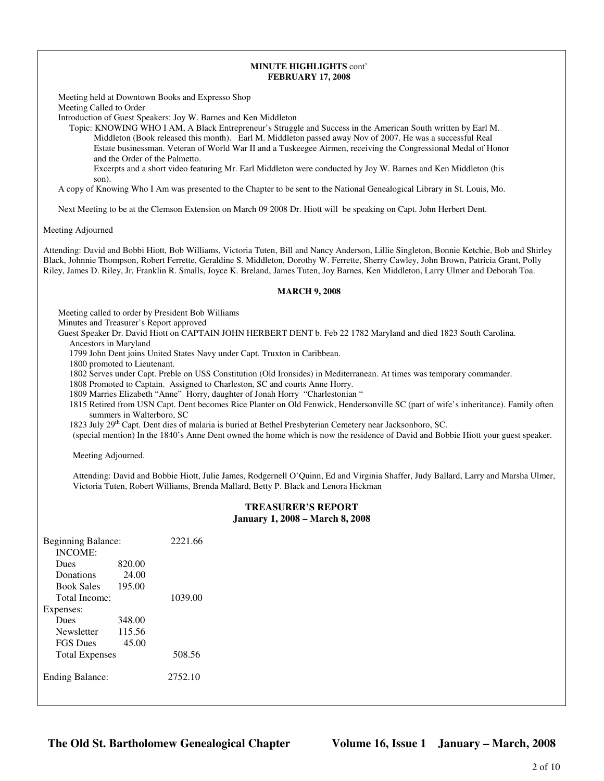### **MINUTE HIGHLIGHTS** cont' **FEBRUARY 17, 2008**

Meeting held at Downtown Books and Expresso Shop Meeting Called to Order

Introduction of Guest Speakers: Joy W. Barnes and Ken Middleton

 Topic: KNOWING WHO I AM, A Black Entrepreneur's Struggle and Success in the American South written by Earl M. Middleton (Book released this month). Earl M. Middleton passed away Nov of 2007. He was a successful Real Estate businessman. Veteran of World War II and a Tuskeegee Airmen, receiving the Congressional Medal of Honor and the Order of the Palmetto.

 Excerpts and a short video featuring Mr. Earl Middleton were conducted by Joy W. Barnes and Ken Middleton (his son).

A copy of Knowing Who I Am was presented to the Chapter to be sent to the National Genealogical Library in St. Louis, Mo.

Next Meeting to be at the Clemson Extension on March 09 2008 Dr. Hiott will be speaking on Capt. John Herbert Dent.

Meeting Adjourned

Attending: David and Bobbi Hiott, Bob Williams, Victoria Tuten, Bill and Nancy Anderson, Lillie Singleton, Bonnie Ketchie, Bob and Shirley Black, Johnnie Thompson, Robert Ferrette, Geraldine S. Middleton, Dorothy W. Ferrette, Sherry Cawley, John Brown, Patricia Grant, Polly Riley, James D. Riley, Jr, Franklin R. Smalls, Joyce K. Breland, James Tuten, Joy Barnes, Ken Middleton, Larry Ulmer and Deborah Toa.

## **MARCH 9, 2008**

Meeting called to order by President Bob Williams Minutes and Treasurer's Report approved

Guest Speaker Dr. David Hiott on CAPTAIN JOHN HERBERT DENT b. Feb 22 1782 Maryland and died 1823 South Carolina. Ancestors in Maryland

1799 John Dent joins United States Navy under Capt. Truxton in Caribbean.

1800 promoted to Lieutenant.

1802 Serves under Capt. Preble on USS Constitution (Old Ironsides) in Mediterranean. At times was temporary commander.

1808 Promoted to Captain. Assigned to Charleston, SC and courts Anne Horry.

1809 Marries Elizabeth "Anne" Horry, daughter of Jonah Horry "Charlestonian "

 1815 Retired from USN Capt. Dent becomes Rice Planter on Old Fenwick, Hendersonville SC (part of wife's inheritance). Family often summers in Walterboro, SC

1823 July 29th Capt. Dent dies of malaria is buried at Bethel Presbyterian Cemetery near Jacksonboro, SC.

(special mention) In the 1840's Anne Dent owned the home which is now the residence of David and Bobbie Hiott your guest speaker.

Meeting Adjourned.

Attending: David and Bobbie Hiott, Julie James, Rodgernell O'Quinn, Ed and Virginia Shaffer, Judy Ballard, Larry and Marsha Ulmer, Victoria Tuten, Robert Williams, Brenda Mallard, Betty P. Black and Lenora Hickman

# **TREASURER'S REPORT January 1, 2008 – March 8, 2008**

| Beginning Balance:<br><b>INCOME:</b> |        | 2221.66 |
|--------------------------------------|--------|---------|
| <b>Dues</b>                          | 820.00 |         |
| Donations                            | 24.00  |         |
| <b>Book Sales</b>                    | 195.00 |         |
| Total Income:                        |        | 1039.00 |
| Expenses:                            |        |         |
| Dues                                 | 348.00 |         |
| <b>Newsletter</b>                    | 115.56 |         |
| <b>FGS</b> Dues                      | 45.00  |         |
| <b>Total Expenses</b>                |        | 508.56  |
| <b>Ending Balance:</b>               |        | 2752.10 |

**The Old St. Bartholomew Genealogical Chapter Volume 16, Issue 1 January – March, 2008**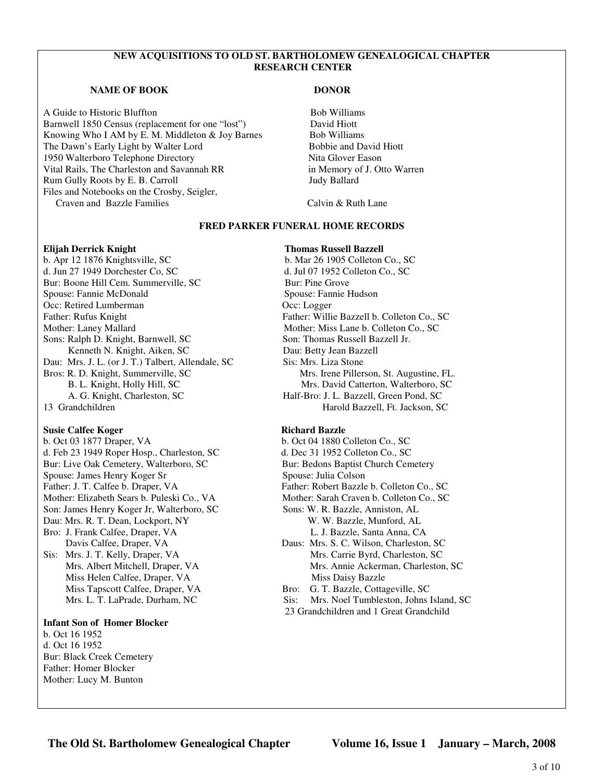# **NEW ACQUISITIONS TO OLD ST. BARTHOLOMEW GENEALOGICAL CHAPTER RESEARCH CENTER**

# **NAME OF BOOK DONOR**

A Guide to Historic Bluffton Bob Williams Barnwell 1850 Census (replacement for one "lost") David Hiott Knowing Who I AM by E. M. Middleton  $&$  Joy Barnes Bob Williams The Dawn's Early Light by Walter Lord Bobbie and David Hiott 1950 Walterboro Telephone Directory Nita Glover Eason Vital Rails, The Charleston and Savannah RR in Memory of J. Otto Warren Rum Gully Roots by E. B. Carroll Judy Ballard Files and Notebooks on the Crosby, Seigler, Craven and Bazzle Families Calvin & Ruth Lane

# **FRED PARKER FUNERAL HOME RECORDS**

# **Elijah Derrick Knight Thomas Russell Bazzell**

b. Apr 12 1876 Knightsville, SC b. Mar 26 1905 Colleton Co., SC d. Jun 27 1949 Dorchester Co, SC d. Jul 07 1952 Colleton Co., SC Bur: Boone Hill Cem. Summerville, SC Bur: Pine Grove Spouse: Fannie McDonald Spouse: Fannie Hudson Occ: Retired Lumberman Occ: Logger Father: Rufus Knight Father: Willie Bazzell b. Colleton Co., SC Mother: Laney Mallard Mother: Miss Lane b. Colleton Co., SC Sons: Ralph D. Knight, Barnwell, SC Son: Thomas Russell Bazzell Jr. Kenneth N. Knight, Aiken, SC Dau: Betty Jean Bazzell Dau: Mrs. J. L. (or J. T.) Talbert, Allendale, SC Sis: Mrs. Liza Stone Bros: R. D. Knight, Summerville, SC Mrs. Irene Pillerson, St. Augustine, FL. A. G. Knight, Charleston, SC Half-Bro: J. L. Bazzell, Green Pond, SC 13 Grandchildren Harold Bazzell, Ft. Jackson, SC

# **Susie Calfee Koger Richard Bazzle**

b. Oct 03 1877 Draper, VA b. Oct 04 1880 Colleton Co., SC d. Feb 23 1949 Roper Hosp., Charleston, SC d. Dec 31 1952 Colleton Co., SC Bur: Live Oak Cemetery, Walterboro, SC Bur: Bedons Baptist Church Cemetery Spouse: James Henry Koger Sr Spouse: Julia Colson Father: J. T. Calfee b. Draper, VA Father: Robert Bazzle b. Colleton Co., SC Mother: Elizabeth Sears b. Puleski Co., VA Mother: Sarah Craven b. Colleton Co., SC Son: James Henry Koger Jr, Walterboro, SC Sons: W. R. Bazzle, Anniston, AL Dau: Mrs. R. T. Dean, Lockport, NY W. W. Bazzle, Munford, AL Bro: J. Frank Calfee, Draper, VA L. J. Bazzle, Santa Anna, CA Sis: Mrs. J. T. Kelly, Draper, VA Mrs. Carrie Byrd, Charleston, SC

Miss Helen Calfee, Draper, VA Miss Daisy Bazzle

# **Infant Son of Homer Blocker**

b. Oct 16 1952 d. Oct 16 1952 Bur: Black Creek Cemetery Father: Homer Blocker Mother: Lucy M. Bunton

B. L. Knight, Holly Hill, SC Mrs. David Catterton, Walterboro, SC

 Davis Calfee, Draper, VA Daus: Mrs. S. C. Wilson, Charleston, SC Mrs. Albert Mitchell, Draper, VA Mrs. Annie Ackerman, Charleston, SC Miss Tapscott Calfee, Draper, VA Bro: G. T. Bazzle, Cottageville, SC Mrs. L. T. LaPrade, Durham, NC Sis: Mrs. Noel Tumbleston, Johns Island, SC 23 Grandchildren and 1 Great Grandchild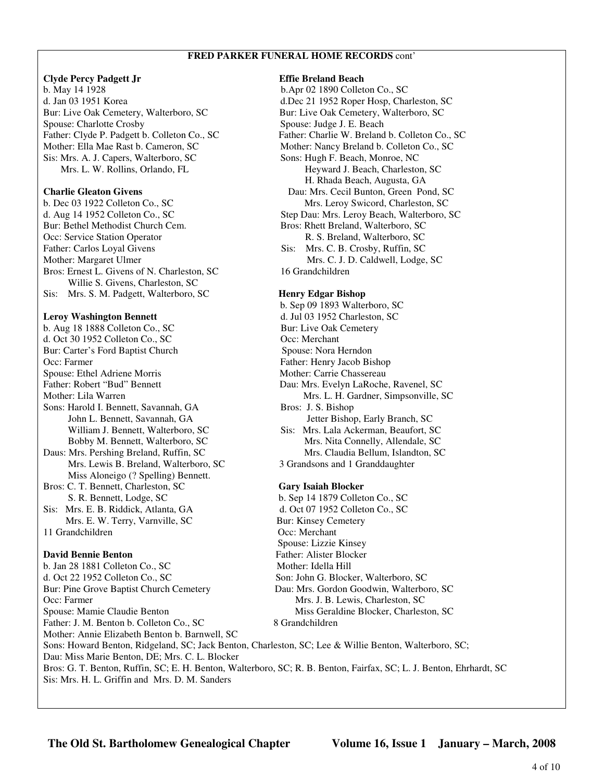# **FRED PARKER FUNERAL HOME RECORDS** cont'

# **Clyde Percy Padgett Jr Effie Breland Beach**

b. May 14 1928 b.Apr 02 1890 Colleton Co., SC d. Jan 03 1951 Korea d.Dec 21 1952 Roper Hosp, Charleston, SC Bur: Live Oak Cemetery, Walterboro, SC Bur: Live Oak Cemetery, Walterboro, SC Spouse: Charlotte Crosby Spouse: Judge J. E. Beach Mother: Ella Mae Rast b. Cameron, SC Mother: Nancy Breland b. Colleton Co., SC Sis: Mrs. A. J. Capers, Walterboro, SC Sons: Hugh F. Beach, Monroe, NC

Bur: Bethel Methodist Church Cem. Bros: Rhett Breland, Walterboro, SC Occ: Service Station Operator R. S. Breland, Walterboro, SC Father: Carlos Loyal Givens Sis: Mrs. C. B. Crosby, Ruffin, SC Mother: Margaret Ulmer Mrs. C. J. D. Caldwell, Lodge, SC Bros: Ernest L. Givens of N. Charleston, SC 16 Grandchildren Willie S. Givens, Charleston, SC Sis: Mrs. S. M. Padgett, Walterboro, SC **Henry Edgar Bishop**

b. Aug 18 1888 Colleton Co., SC Bur: Live Oak Cemetery d. Oct 30 1952 Colleton Co., SC Occ: Merchant Bur: Carter's Ford Baptist Church Spouse: Nora Herndon Occ: Farmer Father: Henry Jacob Bishop Spouse: Ethel Adriene Morris Mother: Carrie Chassereau Father: Robert "Bud" Bennett Dau: Mrs. Evelyn LaRoche, Ravenel, SC Mother: Lila Warren Mrs. L. H. Gardner, Simpsonville, SC Sons: Harold I. Bennett, Savannah, GA Bros: J. S. Bishop Daus: Mrs. Pershing Breland, Ruffin, SC Mrs. Claudia Bellum, Islandton, SC Mrs. Lewis B. Breland, Walterboro, SC 3 Grandsons and 1 Granddaughter Miss Aloneigo (? Spelling) Bennett. Bros: C. T. Bennett, Charleston, SC **Gary Isaiah Blocker**

Sis: Mrs. E. B. Riddick, Atlanta, GA d. Oct 07 1952 Colleton Co., SC Mrs. E. W. Terry, Varnville, SC Bur: Kinsey Cemetery

b. Jan 28 1881 Colleton Co., SC Mother: Idella Hill d. Oct 22 1952 Colleton Co., SC Son: John G. Blocker, Walterboro, SC Bur: Pine Grove Baptist Church Cemetery Dau: Mrs. Gordon Goodwin, Walterboro, SC Occ: Farmer Mrs. J. B. Lewis, Charleston, SC Spouse: Mamie Claudie Benton Miss Geraldine Blocker, Charleston, SC Father: J. M. Benton b. Colleton Co., SC 8 Grandchildren Mother: Annie Elizabeth Benton b. Barnwell, SC Sons: Howard Benton, Ridgeland, SC; Jack Benton, Charleston, SC; Lee & Willie Benton, Walterboro, SC; Dau: Miss Marie Benton, DE; Mrs. C. L. Blocker Bros: G. T. Benton, Ruffin, SC; E. H. Benton, Walterboro, SC; R. B. Benton, Fairfax, SC; L. J. Benton, Ehrhardt, SC Sis: Mrs. H. L. Griffin and Mrs. D. M. Sanders

Father: Clyde P. Padgett b. Colleton Co., SC Father: Charlie W. Breland b. Colleton Co., SC Mrs. L. W. Rollins, Orlando, FL Heyward J. Beach, Charleston, SC H. Rhada Beach, Augusta, GA **Charlie Gleaton Givens** Dau: Mrs. Cecil Bunton, Green Pond, SC b. Dec 03 1922 Colleton Co., SC Mrs. Leroy Swicord, Charleston, SC d. Aug 14 1952 Colleton Co., SC Step Dau: Mrs. Leroy Beach, Walterboro, SC

 b. Sep 09 1893 Walterboro, SC **Leroy Washington Bennett** d. Jul 03 1952 Charleston, SC John L. Bennett, Savannah, GA Jetter Bishop, Early Branch, SC William J. Bennett, Walterboro, SC Sis: Mrs. Lala Ackerman, Beaufort, SC Bobby M. Bennett, Walterboro, SC Mrs. Nita Connelly, Allendale, SC

S. R. Bennett, Lodge, SC b. Sep 14 1879 Colleton Co., SC 11 Grandchildren Occ: Merchant Spouse: Lizzie Kinsey **David Bennie Benton Father: Alister Blocker** 

**The Old St. Bartholomew Genealogical Chapter Volume 16, Issue 1 January – March, 2008**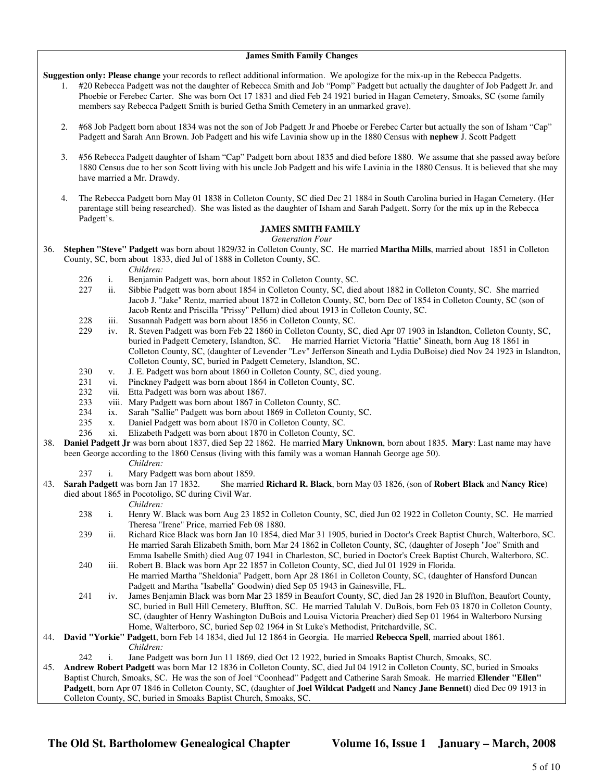## **James Smith Family Changes**

**Suggestion only: Please change** your records to reflect additional information. We apologize for the mix-up in the Rebecca Padgetts.

- 1. #20 Rebecca Padgett was not the daughter of Rebecca Smith and Job "Pomp" Padgett but actually the daughter of Job Padgett Jr. and Phoebie or Ferebec Carter. She was born Oct 17 1831 and died Feb 24 1921 buried in Hagan Cemetery, Smoaks, SC (some family members say Rebecca Padgett Smith is buried Getha Smith Cemetery in an unmarked grave).
- 2. #68 Job Padgett born about 1834 was not the son of Job Padgett Jr and Phoebe or Ferebec Carter but actually the son of Isham "Cap" Padgett and Sarah Ann Brown. Job Padgett and his wife Lavinia show up in the 1880 Census with **nephew** J. Scott Padgett
- 3. #56 Rebecca Padgett daughter of Isham "Cap" Padgett born about 1835 and died before 1880. We assume that she passed away before 1880 Census due to her son Scott living with his uncle Job Padgett and his wife Lavinia in the 1880 Census. It is believed that she may have married a Mr. Drawdy.
- 4. The Rebecca Padgett born May 01 1838 in Colleton County, SC died Dec 21 1884 in South Carolina buried in Hagan Cemetery. (Her parentage still being researched). She was listed as the daughter of Isham and Sarah Padgett. Sorry for the mix up in the Rebecca Padgett's.

# **JAMES SMITH FAMILY**

*Generation Four*

36. **Stephen "Steve" Padgett** was born about 1829/32 in Colleton County, SC. He married **Martha Mills**, married about 1851 in Colleton County, SC, born about 1833, died Jul of 1888 in Colleton County, SC.

*Children:*

- 226 i. Benjamin Padgett was, born about 1852 in Colleton County, SC.<br>227 ii. Sibbie Padgett was born about 1854 in Colleton County, SC. diec
- ii. Sibbie Padgett was born about 1854 in Colleton County, SC, died about 1882 in Colleton County, SC. She married Jacob J. "Jake" Rentz, married about 1872 in Colleton County, SC, born Dec of 1854 in Colleton County, SC (son of Jacob Rentz and Priscilla "Prissy" Pellum) died about 1913 in Colleton County, SC.
- 228 iii. Susannah Padgett was born about 1856 in Colleton County, SC.<br>229 iv. R. Steven Padgett was born Feb 22 1860 in Colleton County, SC.
- iv. R. Steven Padgett was born Feb 22 1860 in Colleton County, SC, died Apr 07 1903 in Islandton, Colleton County, SC, buried in Padgett Cemetery, Islandton, SC. He married Harriet Victoria "Hattie" Sineath, born Aug 18 1861 in Colleton County, SC, (daughter of Levender "Lev" Jefferson Sineath and Lydia DuBoise) died Nov 24 1923 in Islandton, Colleton County, SC, buried in Padgett Cemetery, Islandton, SC.
- 230 v. J. E. Padgett was born about 1860 in Colleton County, SC, died young.
- 231 vi. Pinckney Padgett was born about 1864 in Colleton County, SC.<br>232 vii. Etta Padgett was born was about 1867.
- vii. Etta Padgett was born was about 1867.
- 233 viii. Mary Padgett was born about 1867 in Colleton County, SC.<br>234 ix. Sarah "Sallie" Padgett was born about 1869 in Colleton Cou
- 234 ix. Sarah "Sallie" Padgett was born about 1869 in Colleton County, SC.<br>235 x. Daniel Padgett was born about 1870 in Colleton County, SC.
- 235 x. Daniel Padgett was born about 1870 in Colleton County, SC.<br>236 xi. Elizabeth Padgett was born about 1870 in Colleton County. S
- 236 xi. Elizabeth Padgett was born about 1870 in Colleton County, SC.
- 38. **Daniel Padgett Jr** was born about 1837, died Sep 22 1862. He married **Mary Unknown**, born about 1835. **Mary**: Last name may have been George according to the 1860 Census (living with this family was a woman Hannah George age 50).
	- *Children:*
	- 237 i. Mary Padgett was born about 1859.
- 43. **Sarah Padgett** was born Jan 17 1832. She married **Richard R. Black**, born May 03 1826, (son of **Robert Black** and **Nancy Rice**) died about 1865 in Pocotoligo, SC during Civil War.

### *Children:*

- 238 i. Henry W. Black was born Aug 23 1852 in Colleton County, SC, died Jun 02 1922 in Colleton County, SC. He married Theresa "Irene" Price, married Feb 08 1880.
- 239 ii. Richard Rice Black was born Jan 10 1854, died Mar 31 1905, buried in Doctor's Creek Baptist Church, Walterboro, SC. He married Sarah Elizabeth Smith, born Mar 24 1862 in Colleton County, SC, (daughter of Joseph "Joe" Smith and Emma Isabelle Smith) died Aug 07 1941 in Charleston, SC, buried in Doctor's Creek Baptist Church, Walterboro, SC.
- 240 iii. Robert B. Black was born Apr 22 1857 in Colleton County, SC, died Jul 01 1929 in Florida. He married Martha "Sheldonia" Padgett, born Apr 28 1861 in Colleton County, SC, (daughter of Hansford Duncan Padgett and Martha "Isabella" Goodwin) died Sep 05 1943 in Gainesville, FL.
- 241 iv. James Benjamin Black was born Mar 23 1859 in Beaufort County, SC, died Jan 28 1920 in Bluffton, Beaufort County, SC, buried in Bull Hill Cemetery, Bluffton, SC. He married Talulah V. DuBois, born Feb 03 1870 in Colleton County, SC, (daughter of Henry Washington DuBois and Louisa Victoria Preacher) died Sep 01 1964 in Walterboro Nursing Home, Walterboro, SC, buried Sep 02 1964 in St Luke's Methodist, Pritchardville, SC.
- 44. **David "Yorkie" Padgett**, born Feb 14 1834, died Jul 12 1864 in Georgia. He married **Rebecca Spell**, married about 1861. *Children:*
	- 242 i. Jane Padgett was born Jun 11 1869, died Oct 12 1922, buried in Smoaks Baptist Church, Smoaks, SC.

45. **Andrew Robert Padgett** was born Mar 12 1836 in Colleton County, SC, died Jul 04 1912 in Colleton County, SC, buried in Smoaks Baptist Church, Smoaks, SC. He was the son of Joel "Coonhead" Padgett and Catherine Sarah Smoak. He married **Ellender "Ellen" Padgett**, born Apr 07 1846 in Colleton County, SC, (daughter of **Joel Wildcat Padgett** and **Nancy Jane Bennett**) died Dec 09 1913 in Colleton County, SC, buried in Smoaks Baptist Church, Smoaks, SC.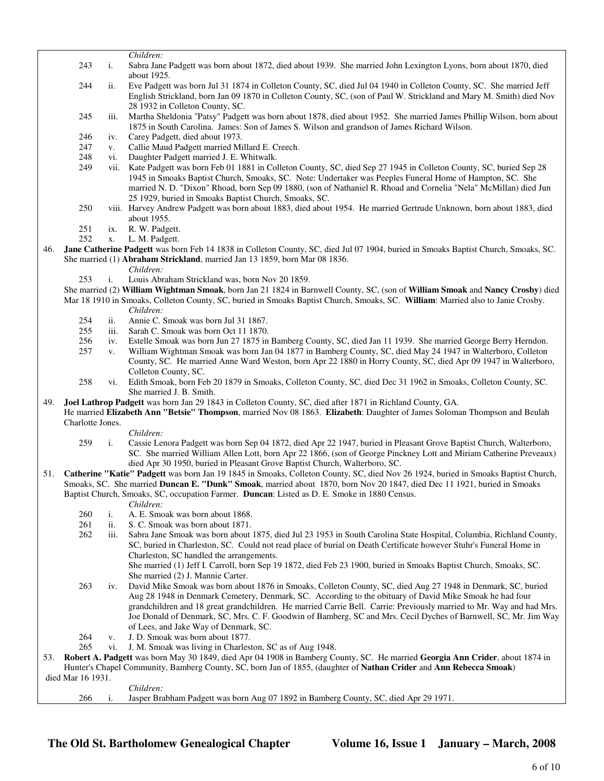*Children:*

- 243 i. Sabra Jane Padgett was born about 1872, died about 1939. She married John Lexington Lyons, born about 1870, died about 1925.
- 244 ii. Eve Padgett was born Jul 31 1874 in Colleton County, SC, died Jul 04 1940 in Colleton County, SC. She married Jeff English Strickland, born Jan 09 1870 in Colleton County, SC, (son of Paul W. Strickland and Mary M. Smith) died Nov 28 1932 in Colleton County, SC.
- 245 iii. Martha Sheldonia "Patsy" Padgett was born about 1878, died about 1952. She married James Phillip Wilson, born about 1875 in South Carolina. James: Son of James S. Wilson and grandson of James Richard Wilson.
- 246 iv. Carey Padgett, died about 1973.
- 247 v. Callie Maud Padgett married Millard E. Creech.
- 248 vi. Daughter Padgett married J. E. Whitwalk.
- 249 vii. Kate Padgett was born Feb 01 1881 in Colleton County, SC, died Sep 27 1945 in Colleton County, SC, buried Sep 28 1945 in Smoaks Baptist Church, Smoaks, SC. Note: Undertaker was Peeples Funeral Home of Hampton, SC. She married N. D. "Dixon" Rhoad, born Sep 09 1880, (son of Nathaniel R. Rhoad and Cornelia "Nela" McMillan) died Jun 25 1929, buried in Smoaks Baptist Church, Smoaks, SC.
- 250 viii. Harvey Andrew Padgett was born about 1883, died about 1954. He married Gertrude Unknown, born about 1883, died about 1955.
- 251 ix. R. W. Padgett.
- 252 x. L. M. Padgett.
- 46. **Jane Catherine Padgett** was born Feb 14 1838 in Colleton County, SC, died Jul 07 1904, buried in Smoaks Baptist Church, Smoaks, SC. She married (1) **Abraham Strickland**, married Jan 13 1859, born Mar 08 1836.
	- *Children:*
	- 253 i. Louis Abraham Strickland was, born Nov 20 1859.
	- She married (2) **William Wightman Smoak**, born Jan 21 1824 in Barnwell County, SC, (son of **William Smoak** and **Nancy Crosby**) died Mar 18 1910 in Smoaks, Colleton County, SC, buried in Smoaks Baptist Church, Smoaks, SC. **William**: Married also to Janie Crosby.
		-
		- *Children:*<br>254 ii. Annie C. 254 ii. Annie C. Smoak was born Jul 31 1867.<br>255 iii. Sarah C. Smoak was born Oct 11 1870.
		- 255 iii. Sarah C. Smoak was born Oct 11 1870.<br>256 iv. Estelle Smoak was born Jun 27 1875 in
		- iv. Estelle Smoak was born Jun 27 1875 in Bamberg County, SC, died Jan 11 1939. She married George Berry Herndon.
		- 257 v. William Wightman Smoak was born Jan 04 1877 in Bamberg County, SC, died May 24 1947 in Walterboro, Colleton County, SC. He married Anne Ward Weston, born Apr 22 1880 in Horry County, SC, died Apr 09 1947 in Walterboro, Colleton County, SC.
		- 258 vi. Edith Smoak, born Feb 20 1879 in Smoaks, Colleton County, SC, died Dec 31 1962 in Smoaks, Colleton County, SC. She married J. B. Smith.
- 49. **Joel Lathrop Padgett** was born Jan 29 1843 in Colleton County, SC, died after 1871 in Richland County, GA.
- He married **Elizabeth Ann "Betsie" Thompson**, married Nov 08 1863. **Elizabeth**: Daughter of James Soloman Thompson and Beulah Charlotte Jones.
	- *Children:*
	- 259 i. Cassie Lenora Padgett was born Sep 04 1872, died Apr 22 1947, buried in Pleasant Grove Baptist Church, Walterboro, SC. She married William Allen Lott, born Apr 22 1866, (son of George Pinckney Lott and Miriam Catherine Preveaux) died Apr 30 1950, buried in Pleasant Grove Baptist Church, Walterboro, SC.
- 51. **Catherine "Katie" Padgett** was born Jan 19 1845 in Smoaks, Colleton County, SC, died Nov 26 1924, buried in Smoaks Baptist Church, Smoaks, SC. She married **Duncan E. "Dunk" Smoak**, married about 1870, born Nov 20 1847, died Dec 11 1921, buried in Smoaks Baptist Church, Smoaks, SC, occupation Farmer. **Duncan**: Listed as D. E. Smoke in 1880 Census.
	- *Children:*
	- 260 i. A. E. Smoak was born about 1868.
	- 261 ii. S. C. Smoak was born about 1871.
	- 262 iii. Sabra Jane Smoak was born about 1875, died Jul 23 1953 in South Carolina State Hospital, Columbia, Richland County, SC, buried in Charleston, SC. Could not read place of burial on Death Certificate however Stuhr's Funeral Home in Charleston, SC handled the arrangements. She married (1) Jeff I. Carroll, born Sep 19 1872, died Feb 23 1900, buried in Smoaks Baptist Church, Smoaks, SC.
		- She married (2) J. Mannie Carter.
	- 263 iv. David Mike Smoak was born about 1876 in Smoaks, Colleton County, SC, died Aug 27 1948 in Denmark, SC, buried Aug 28 1948 in Denmark Cemetery, Denmark, SC. According to the obituary of David Mike Smoak he had four grandchildren and 18 great grandchildren. He married Carrie Bell. Carrie: Previously married to Mr. Way and had Mrs. Joe Donald of Denmark, SC, Mrs. C. F. Goodwin of Bamberg, SC and Mrs. Cecil Dyches of Barnwell, SC, Mr. Jim Way of Lees, and Jake Way of Denmark, SC.
	- 264 v. J. D. Smoak was born about 1877.
	- 265 vi. J. M. Smoak was living in Charleston, SC as of Aug 1948.

53. **Robert A. Padgett** was born May 30 1849, died Apr 04 1908 in Bamberg County, SC. He married **Georgia Ann Crider**, about 1874 in Hunter's Chapel Community, Bamberg County, SC, born Jan of 1855, (daughter of **Nathan Crider** and **Ann Rebecca Smoak**) died Mar 16 1931.

 *Children:* 266 i. Jasper Brabham Padgett was born Aug 07 1892 in Bamberg County, SC, died Apr 29 1971.

**The Old St. Bartholomew Genealogical Chapter Volume 16, Issue 1 January – March, 2008**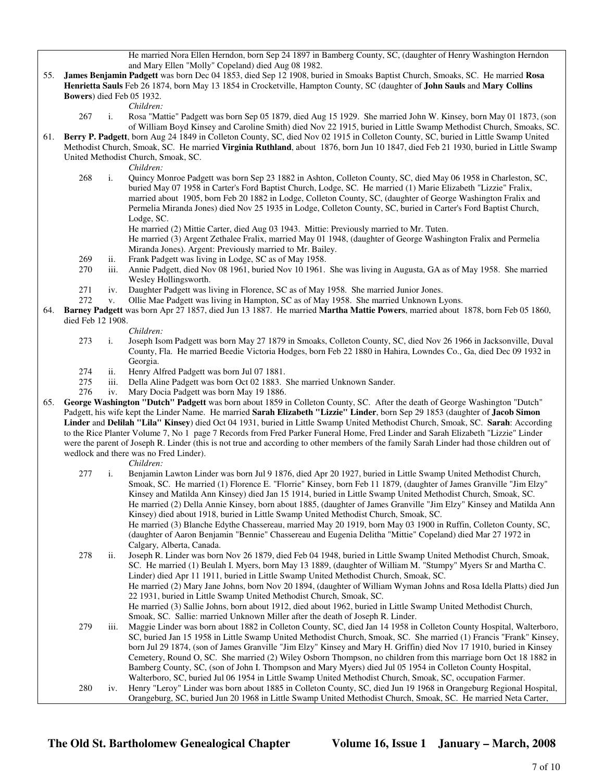He married Nora Ellen Herndon, born Sep 24 1897 in Bamberg County, SC, (daughter of Henry Washington Herndon and Mary Ellen "Molly" Copeland) died Aug 08 1982.

- 55. **James Benjamin Padgett** was born Dec 04 1853, died Sep 12 1908, buried in Smoaks Baptist Church, Smoaks, SC. He married **Rosa Henrietta Sauls** Feb 26 1874, born May 13 1854 in Crocketville, Hampton County, SC (daughter of **John Sauls** and **Mary Collins Bowers**) died Feb 05 1932.
	- *Children:*
	- 267 i. Rosa "Mattie" Padgett was born Sep 05 1879, died Aug 15 1929. She married John W. Kinsey, born May 01 1873, (son of William Boyd Kinsey and Caroline Smith) died Nov 22 1915, buried in Little Swamp Methodist Church, Smoaks, SC.
- 61. **Berry P. Padgett**, born Aug 24 1849 in Colleton County, SC, died Nov 02 1915 in Colleton County, SC, buried in Little Swamp United Methodist Church, Smoak, SC. He married **Virginia Ruthland**, about 1876, born Jun 10 1847, died Feb 21 1930, buried in Little Swamp United Methodist Church, Smoak, SC.
	-
	- *Children:*<br>268 i. Ouincy M i. Quincy Monroe Padgett was born Sep 23 1882 in Ashton, Colleton County, SC, died May 06 1958 in Charleston, SC, buried May 07 1958 in Carter's Ford Baptist Church, Lodge, SC. He married (1) Marie Elizabeth "Lizzie" Fralix, married about 1905, born Feb 20 1882 in Lodge, Colleton County, SC, (daughter of George Washington Fralix and Permelia Miranda Jones) died Nov 25 1935 in Lodge, Colleton County, SC, buried in Carter's Ford Baptist Church, Lodge, SC.
		- He married (2) Mittie Carter, died Aug 03 1943. Mittie: Previously married to Mr. Tuten.

 He married (3) Argent Zethalee Fralix, married May 01 1948, (daughter of George Washington Fralix and Permelia Miranda Jones). Argent: Previously married to Mr. Bailey.

- 269 ii. Frank Padgett was living in Lodge, SC as of May 1958.
- 270 iii. Annie Padgett, died Nov 08 1961, buried Nov 10 1961. She was living in Augusta, GA as of May 1958. She married Wesley Hollingsworth.
- 271 iv. Daughter Padgett was living in Florence, SC as of May 1958. She married Junior Jones.
- 272 v. Ollie Mae Padgett was living in Hampton, SC as of May 1958. She married Unknown Lyons.
- 64. **Barney Padgett** was born Apr 27 1857, died Jun 13 1887. He married **Martha Mattie Powers**, married about 1878, born Feb 05 1860, died Feb 12 1908.

- *Children:*<br>273 i. Joseph Iso i. Joseph Isom Padgett was born May 27 1879 in Smoaks, Colleton County, SC, died Nov 26 1966 in Jacksonville, Duval County, Fla. He married Beedie Victoria Hodges, born Feb 22 1880 in Hahira, Lowndes Co., Ga, died Dec 09 1932 in Georgia.
- 274 ii. Henry Alfred Padgett was born Jul 07 1881.
- 275 iii. Della Aline Padgett was born Oct 02 1883. She married Unknown Sander.
- 276 iv. Mary Docia Padgett was born May 19 1886.
- 65. **George Washington "Dutch" Padgett** was born about 1859 in Colleton County, SC. After the death of George Washington "Dutch" Padgett, his wife kept the Linder Name. He married **Sarah Elizabeth "Lizzie" Linder**, born Sep 29 1853 (daughter of **Jacob Simon Linder** and **Delilah "Lila" Kinsey**) died Oct 04 1931, buried in Little Swamp United Methodist Church, Smoak, SC. **Sarah**: According to the Rice Planter Volume 7, No 1 page 7 Records from Fred Parker Funeral Home, Fred Linder and Sarah Elizabeth "Lizzie" Linder were the parent of Joseph R. Linder (this is not true and according to other members of the family Sarah Linder had those children out of wedlock and there was no Fred Linder).

*Children:*

- 277 i. Benjamin Lawton Linder was born Jul 9 1876, died Apr 20 1927, buried in Little Swamp United Methodist Church, Smoak, SC. He married (1) Florence E. "Florrie" Kinsey, born Feb 11 1879, (daughter of James Granville "Jim Elzy" Kinsey and Matilda Ann Kinsey) died Jan 15 1914, buried in Little Swamp United Methodist Church, Smoak, SC. He married (2) Della Annie Kinsey, born about 1885, (daughter of James Granville "Jim Elzy" Kinsey and Matilda Ann Kinsey) died about 1918, buried in Little Swamp United Methodist Church, Smoak, SC. He married (3) Blanche Edythe Chassereau, married May 20 1919, born May 03 1900 in Ruffin, Colleton County, SC, (daughter of Aaron Benjamin "Bennie" Chassereau and Eugenia Delitha "Mittie" Copeland) died Mar 27 1972 in Calgary, Alberta, Canada. 278 ii. Joseph R. Linder was born Nov 26 1879, died Feb 04 1948, buried in Little Swamp United Methodist Church, Smoak,
	- SC. He married (1) Beulah I. Myers, born May 13 1889, (daughter of William M. "Stumpy" Myers Sr and Martha C. Linder) died Apr 11 1911, buried in Little Swamp United Methodist Church, Smoak, SC. He married (2) Mary Jane Johns, born Nov 20 1894, (daughter of William Wyman Johns and Rosa Idella Platts) died Jun 22 1931, buried in Little Swamp United Methodist Church, Smoak, SC. He married (3) Sallie Johns, born about 1912, died about 1962, buried in Little Swamp United Methodist Church,

Smoak, SC. Sallie: married Unknown Miller after the death of Joseph R. Linder.

- 279 iii. Maggie Linder was born about 1882 in Colleton County, SC, died Jan 14 1958 in Colleton County Hospital, Walterboro, SC, buried Jan 15 1958 in Little Swamp United Methodist Church, Smoak, SC. She married (1) Francis "Frank" Kinsey, born Jul 29 1874, (son of James Granville "Jim Elzy" Kinsey and Mary H. Griffin) died Nov 17 1910, buried in Kinsey Cemetery, Round O, SC. She married (2) Wiley Osborn Thompson, no children from this marriage born Oct 18 1882 in Bamberg County, SC, (son of John I. Thompson and Mary Myers) died Jul 05 1954 in Colleton County Hospital, Walterboro, SC, buried Jul 06 1954 in Little Swamp United Methodist Church, Smoak, SC, occupation Farmer.
- 280 iv. Henry "Leroy" Linder was born about 1885 in Colleton County, SC, died Jun 19 1968 in Orangeburg Regional Hospital, Orangeburg, SC, buried Jun 20 1968 in Little Swamp United Methodist Church, Smoak, SC. He married Neta Carter,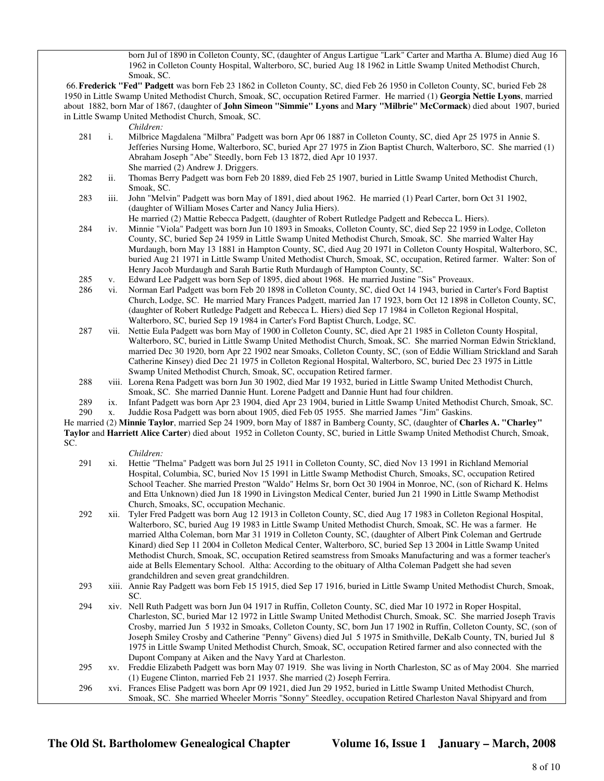born Jul of 1890 in Colleton County, SC, (daughter of Angus Lartigue "Lark" Carter and Martha A. Blume) died Aug 16 1962 in Colleton County Hospital, Walterboro, SC, buried Aug 18 1962 in Little Swamp United Methodist Church, Smoak, SC.

 66. **Frederick "Fed" Padgett** was born Feb 23 1862 in Colleton County, SC, died Feb 26 1950 in Colleton County, SC, buried Feb 28 1950 in Little Swamp United Methodist Church, Smoak, SC, occupation Retired Farmer. He married (1) **Georgia Nettie Lyons**, married about 1882, born Mar of 1867, (daughter of **John Simeon "Simmie" Lyons** and **Mary "Milbrie" McCormack**) died about 1907, buried in Little Swamp United Methodist Church, Smoak, SC.

*Children:*

- 281 i. Milbrice Magdalena "Milbra" Padgett was born Apr 06 1887 in Colleton County, SC, died Apr 25 1975 in Annie S. Jefferies Nursing Home, Walterboro, SC, buried Apr 27 1975 in Zion Baptist Church, Walterboro, SC. She married (1) Abraham Joseph "Abe" Steedly, born Feb 13 1872, died Apr 10 1937.
- She married (2) Andrew J. Driggers.<br>282 ii. Thomas Berry Padgett was born Feb ii. Thomas Berry Padgett was born Feb 20 1889, died Feb 25 1907, buried in Little Swamp United Methodist Church, Smoak, SC.
- 283 iii. John "Melvin" Padgett was born May of 1891, died about 1962. He married (1) Pearl Carter, born Oct 31 1902, (daughter of William Moses Carter and Nancy Julia Hiers). He married (2) Mattie Rebecca Padgett, (daughter of Robert Rutledge Padgett and Rebecca L. Hiers).
- 284 iv. Minnie "Viola" Padgett was born Jun 10 1893 in Smoaks, Colleton County, SC, died Sep 22 1959 in Lodge, Colleton County, SC, buried Sep 24 1959 in Little Swamp United Methodist Church, Smoak, SC. She married Walter Hay Murdaugh, born May 13 1881 in Hampton County, SC, died Aug 20 1971 in Colleton County Hospital, Walterboro, SC, buried Aug 21 1971 in Little Swamp United Methodist Church, Smoak, SC, occupation, Retired farmer. Walter: Son of Henry Jacob Murdaugh and Sarah Bartie Ruth Murdaugh of Hampton County, SC.
- 285 v. Edward Lee Padgett was born Sep of 1895, died about 1968. He married Justine "Sis" Proveaux.<br>286 vi. Norman Earl Padgett was born Feb 20 1898 in Colleton County. SC, died Oct 14 1943, buried in
- 286 vi. Norman Earl Padgett was born Feb 20 1898 in Colleton County, SC, died Oct 14 1943, buried in Carter's Ford Baptist Church, Lodge, SC. He married Mary Frances Padgett, married Jan 17 1923, born Oct 12 1898 in Colleton County, SC, (daughter of Robert Rutledge Padgett and Rebecca L. Hiers) died Sep 17 1984 in Colleton Regional Hospital, Walterboro, SC, buried Sep 19 1984 in Carter's Ford Baptist Church, Lodge, SC.
- 287 vii. Nettie Eula Padgett was born May of 1900 in Colleton County, SC, died Apr 21 1985 in Colleton County Hospital, Walterboro, SC, buried in Little Swamp United Methodist Church, Smoak, SC. She married Norman Edwin Strickland, married Dec 30 1920, born Apr 22 1902 near Smoaks, Colleton County, SC, (son of Eddie William Strickland and Sarah Catherine Kinsey) died Dec 21 1975 in Colleton Regional Hospital, Walterboro, SC, buried Dec 23 1975 in Little Swamp United Methodist Church, Smoak, SC, occupation Retired farmer.
- 288 viii. Lorena Rena Padgett was born Jun 30 1902, died Mar 19 1932, buried in Little Swamp United Methodist Church, Smoak, SC. She married Dannie Hunt. Lorene Padgett and Dannie Hunt had four children.
- 289 ix. Infant Padgett was born Apr 23 1904, died Apr 23 1904, buried in Little Swamp United Methodist Church, Smoak, SC.
- 290 x. Juddie Rosa Padgett was born about 1905, died Feb 05 1955. She married James "Jim" Gaskins.

 He married (2) **Minnie Taylor**, married Sep 24 1909, born May of 1887 in Bamberg County, SC, (daughter of **Charles A. "Charley" Taylor** and **Harriett Alice Carter**) died about 1952 in Colleton County, SC, buried in Little Swamp United Methodist Church, Smoak, SC.

- 291 xi. Hettie "Thelma" Padgett was born Jul 25 1911 in Colleton County, SC, died Nov 13 1991 in Richland Memorial Hospital, Columbia, SC, buried Nov 15 1991 in Little Swamp Methodist Church, Smoaks, SC, occupation Retired School Teacher. She married Preston "Waldo" Helms Sr, born Oct 30 1904 in Monroe, NC, (son of Richard K. Helms and Etta Unknown) died Jun 18 1990 in Livingston Medical Center, buried Jun 21 1990 in Little Swamp Methodist Church, Smoaks, SC, occupation Mechanic.
- 292 xii. Tyler Fred Padgett was born Aug 12 1913 in Colleton County, SC, died Aug 17 1983 in Colleton Regional Hospital, Walterboro, SC, buried Aug 19 1983 in Little Swamp United Methodist Church, Smoak, SC. He was a farmer. He married Altha Coleman, born Mar 31 1919 in Colleton County, SC, (daughter of Albert Pink Coleman and Gertrude Kinard) died Sep 11 2004 in Colleton Medical Center, Walterboro, SC, buried Sep 13 2004 in Little Swamp United Methodist Church, Smoak, SC, occupation Retired seamstress from Smoaks Manufacturing and was a former teacher's aide at Bells Elementary School. Altha: According to the obituary of Altha Coleman Padgett she had seven grandchildren and seven great grandchildren.
- 293 xiii. Annie Ray Padgett was born Feb 15 1915, died Sep 17 1916, buried in Little Swamp United Methodist Church, Smoak, SC.
- 294 xiv. Nell Ruth Padgett was born Jun 04 1917 in Ruffin, Colleton County, SC, died Mar 10 1972 in Roper Hospital, Charleston, SC, buried Mar 12 1972 in Little Swamp United Methodist Church, Smoak, SC. She married Joseph Travis Crosby, married Jun 5 1932 in Smoaks, Colleton County, SC, born Jun 17 1902 in Ruffin, Colleton County, SC, (son of Joseph Smiley Crosby and Catherine "Penny" Givens) died Jul 5 1975 in Smithville, DeKalb County, TN, buried Jul 8 1975 in Little Swamp United Methodist Church, Smoak, SC, occupation Retired farmer and also connected with the Dupont Company at Aiken and the Navy Yard at Charleston.
- 295 xv. Freddie Elizabeth Padgett was born May 07 1919. She was living in North Charleston, SC as of May 2004. She married (1) Eugene Clinton, married Feb 21 1937. She married (2) Joseph Ferrira.
- 296 xvi. Frances Elise Padgett was born Apr 09 1921, died Jun 29 1952, buried in Little Swamp United Methodist Church, Smoak, SC. She married Wheeler Morris "Sonny" Steedley, occupation Retired Charleston Naval Shipyard and from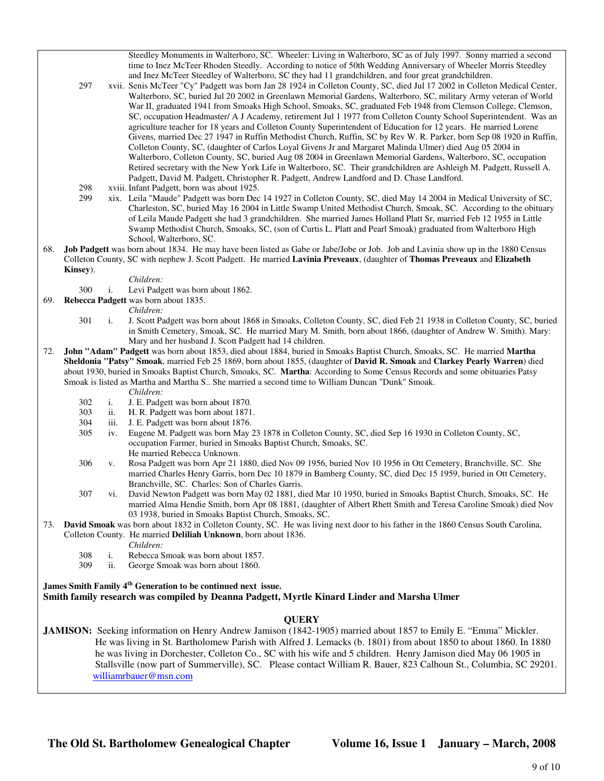Steedley Monuments in Walterboro, SC. Wheeler: Living in Walterboro, SC as of July 1997. Sonny married a second time to Inez McTeer Rhoden Steedly. According to notice of 50th Wedding Anniversary of Wheeler Morris Steedley and Inez McTeer Steedley of Walterboro, SC they had 11 grandchildren, and four great grandchildren.

- 297 xvii. Senis McTeer "Cy" Padgett was born Jan 28 1924 in Colleton County, SC, died Jul 17 2002 in Colleton Medical Center, Walterboro, SC, buried Jul 20 2002 in Greenlawn Memorial Gardens, Walterboro, SC, military Army veteran of World War II, graduated 1941 from Smoaks High School, Smoaks, SC, graduated Feb 1948 from Clemson College, Clemson, SC, occupation Headmaster/ A J Academy, retirement Jul 1 1977 from Colleton County School Superintendent. Was an agriculture teacher for 18 years and Colleton County Superintendent of Education for 12 years. He married Lorene Givens, married Dec 27 1947 in Ruffin Methodist Church, Ruffin, SC by Rev W. R. Parker, born Sep 08 1920 in Ruffin, Colleton County, SC, (daughter of Carlos Loyal Givens Jr and Margaret Malinda Ulmer) died Aug 05 2004 in Walterboro, Colleton County, SC, buried Aug 08 2004 in Greenlawn Memorial Gardens, Walterboro, SC, occupation Retired secretary with the New York Life in Walterboro, SC. Their grandchildren are Ashleigh M. Padgett, Russell A. Padgett, David M. Padgett, Christopher R. Padgett, Andrew Landford and D. Chase Landford.
- 298 xviii. Infant Padgett, born was about 1925.
- 299 xix. Leila "Maude" Padgett was born Dec 14 1927 in Colleton County, SC, died May 14 2004 in Medical University of SC, Charleston, SC, buried May 16 2004 in Little Swamp United Methodist Church, Smoak, SC. According to the obituary of Leila Maude Padgett she had 3 grandchildren. She married James Holland Platt Sr, married Feb 12 1955 in Little Swamp Methodist Church, Smoaks, SC, (son of Curtis L. Platt and Pearl Smoak) graduated from Walterboro High School, Walterboro, SC.
- 68. **Job Padgett** was born about 1834. He may have been listed as Gabe or Jabe/Jobe or Job. Job and Lavinia show up in the 1880 Census Colleton County, SC with nephew J. Scott Padgett. He married **Lavinia Preveaux**, (daughter of **Thomas Preveaux** and **Elizabeth Kinsey**).
	- *Children:*
	- 300 i. Levi Padgett was born about 1862.
- 69. **Rebecca Padgett** was born about 1835.

- *Children:*<br>301 i. J. Scott Pa i. J. Scott Padgett was born about 1868 in Smoaks, Colleton County, SC, died Feb 21 1938 in Colleton County, SC, buried in Smith Cemetery, Smoak, SC. He married Mary M. Smith, born about 1866, (daughter of Andrew W. Smith). Mary: Mary and her husband J. Scott Padgett had 14 children.
- 72. **John "Adam" Padgett** was born about 1853, died about 1884, buried in Smoaks Baptist Church, Smoaks, SC. He married **Martha Sheldonia "Patsy" Smoak**, married Feb 25 1869, born about 1855, (daughter of **David R. Smoak** and **Clarkey Pearly Warren**) died about 1930, buried in Smoaks Baptist Church, Smoaks, SC. **Martha**: According to Some Census Records and some obituaries Patsy Smoak is listed as Martha and Martha S.. She married a second time to William Duncan "Dunk" Smoak.
	- *Children:*
	- 302 i. J. E. Padgett was born about 1870.
	- 303 ii. H. R. Padgett was born about 1871.
	- 304 iii. J. E. Padgett was born about 1876.<br>305 iv. Eugene M. Padgett was born May?
	- iv. Eugene M. Padgett was born May 23 1878 in Colleton County, SC, died Sep 16 1930 in Colleton County, SC, occupation Farmer, buried in Smoaks Baptist Church, Smoaks, SC. He married Rebecca Unknown.
	- 306 v. Rosa Padgett was born Apr 21 1880, died Nov 09 1956, buried Nov 10 1956 in Ott Cemetery, Branchville, SC. She married Charles Henry Garris, born Dec 10 1879 in Bamberg County, SC, died Dec 15 1959, buried in Ott Cemetery, Branchville, SC. Charles: Son of Charles Garris.
	- 307 vi. David Newton Padgett was born May 02 1881, died Mar 10 1950, buried in Smoaks Baptist Church, Smoaks, SC. He married Alma Hendie Smith, born Apr 08 1881, (daughter of Albert Rhett Smith and Teresa Caroline Smoak) died Nov 03 1938, buried in Smoaks Baptist Church, Smoaks, SC.
- 73. **David Smoak** was born about 1832 in Colleton County, SC. He was living next door to his father in the 1860 Census South Carolina, Colleton County. He married **Deliliah Unknown**, born about 1836.

*Children:*

- 308 i. Rebecca Smoak was born about 1857.
- 309 ii. George Smoak was born about 1860.

**James Smith Family 4th Generation to be continued next issue.** 

# **Smith family research was compiled by Deanna Padgett, Myrtle Kinard Linder and Marsha Ulmer**

# **QUERY**

**JAMISON:** Seeking information on Henry Andrew Jamison (1842-1905) married about 1857 to Emily E. "Emma" Mickler. He was living in St. Bartholomew Parish with Alfred J. Lemacks (b. 1801) from about 1850 to about 1860. In 1880 he was living in Dorchester, Colleton Co., SC with his wife and 5 children. Henry Jamison died May 06 1905 in Stallsville (now part of Summerville), SC. Please contact William R. Bauer, 823 Calhoun St., Columbia, SC 29201. williamrbauer@msn.com